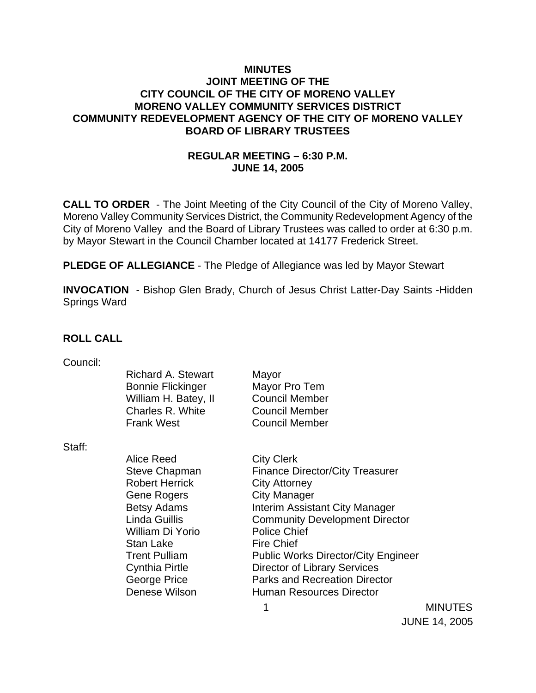### **MINUTES JOINT MEETING OF THE CITY COUNCIL OF THE CITY OF MORENO VALLEY MORENO VALLEY COMMUNITY SERVICES DISTRICT COMMUNITY REDEVELOPMENT AGENCY OF THE CITY OF MORENO VALLEY BOARD OF LIBRARY TRUSTEES**

### **REGULAR MEETING – 6:30 P.M. JUNE 14, 2005**

**CALL TO ORDER** - The Joint Meeting of the City Council of the City of Moreno Valley, Moreno Valley Community Services District, the Community Redevelopment Agency of the City of Moreno Valley and the Board of Library Trustees was called to order at 6:30 p.m. by Mayor Stewart in the Council Chamber located at 14177 Frederick Street.

**PLEDGE OF ALLEGIANCE** - The Pledge of Allegiance was led by Mayor Stewart

**INVOCATION** - Bishop Glen Brady, Church of Jesus Christ Latter-Day Saints -Hidden Springs Ward

### **ROLL CALL**

| Council: |  |
|----------|--|
|          |  |
|          |  |

|        | <b>Richard A. Stewart</b><br><b>Bonnie Flickinger</b><br>William H. Batey, II<br>Charles R. White<br><b>Frank West</b> | Mayor<br>Mayor Pro Tem<br><b>Council Member</b><br><b>Council Member</b><br><b>Council Member</b> |                |
|--------|------------------------------------------------------------------------------------------------------------------------|---------------------------------------------------------------------------------------------------|----------------|
| Staff: |                                                                                                                        |                                                                                                   |                |
|        | Alice Reed                                                                                                             | <b>City Clerk</b>                                                                                 |                |
|        | Steve Chapman                                                                                                          | <b>Finance Director/City Treasurer</b>                                                            |                |
|        | <b>Robert Herrick</b>                                                                                                  | <b>City Attorney</b>                                                                              |                |
|        | <b>Gene Rogers</b>                                                                                                     | <b>City Manager</b>                                                                               |                |
|        | <b>Betsy Adams</b>                                                                                                     | Interim Assistant City Manager                                                                    |                |
|        | Linda Guillis                                                                                                          | <b>Community Development Director</b>                                                             |                |
|        | William Di Yorio                                                                                                       | <b>Police Chief</b>                                                                               |                |
|        | Stan Lake                                                                                                              | <b>Fire Chief</b>                                                                                 |                |
|        | <b>Trent Pulliam</b>                                                                                                   | <b>Public Works Director/City Engineer</b>                                                        |                |
|        | <b>Cynthia Pirtle</b>                                                                                                  | <b>Director of Library Services</b>                                                               |                |
|        | George Price                                                                                                           | <b>Parks and Recreation Director</b>                                                              |                |
|        | Denese Wilson                                                                                                          | <b>Human Resources Director</b>                                                                   |                |
|        |                                                                                                                        |                                                                                                   | <b>MINUTES</b> |
|        |                                                                                                                        |                                                                                                   |                |

JUNE 14, 2005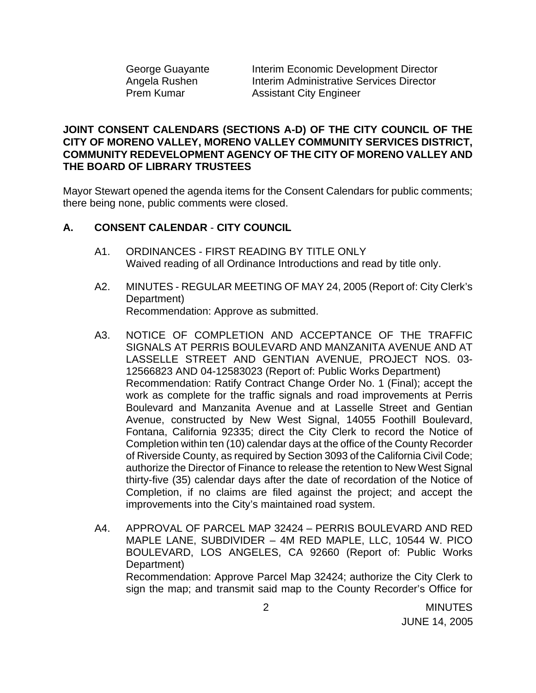George Guayante **Interim Economic Development Director** Angela Rushen Interim Administrative Services Director Prem Kumar **Assistant City Engineer** 

### **JOINT CONSENT CALENDARS (SECTIONS A-D) OF THE CITY COUNCIL OF THE CITY OF MORENO VALLEY, MORENO VALLEY COMMUNITY SERVICES DISTRICT, COMMUNITY REDEVELOPMENT AGENCY OF THE CITY OF MORENO VALLEY AND THE BOARD OF LIBRARY TRUSTEES**

Mayor Stewart opened the agenda items for the Consent Calendars for public comments; there being none, public comments were closed.

### **A. CONSENT CALENDAR** - **CITY COUNCIL**

- A1. ORDINANCES FIRST READING BY TITLE ONLY Waived reading of all Ordinance Introductions and read by title only.
- A2. MINUTES REGULAR MEETING OF MAY 24, 2005 (Report of: City Clerk's Department) Recommendation: Approve as submitted.
- A3. NOTICE OF COMPLETION AND ACCEPTANCE OF THE TRAFFIC SIGNALS AT PERRIS BOULEVARD AND MANZANITA AVENUE AND AT LASSELLE STREET AND GENTIAN AVENUE, PROJECT NOS. 03- 12566823 AND 04-12583023 (Report of: Public Works Department) Recommendation: Ratify Contract Change Order No. 1 (Final); accept the work as complete for the traffic signals and road improvements at Perris Boulevard and Manzanita Avenue and at Lasselle Street and Gentian Avenue, constructed by New West Signal, 14055 Foothill Boulevard, Fontana, California 92335; direct the City Clerk to record the Notice of Completion within ten (10) calendar days at the office of the County Recorder of Riverside County, as required by Section 3093 of the California Civil Code; authorize the Director of Finance to release the retention to New West Signal thirty-five (35) calendar days after the date of recordation of the Notice of Completion, if no claims are filed against the project; and accept the improvements into the City's maintained road system.
- A4. APPROVAL OF PARCEL MAP 32424 PERRIS BOULEVARD AND RED MAPLE LANE, SUBDIVIDER – 4M RED MAPLE, LLC, 10544 W. PICO BOULEVARD, LOS ANGELES, CA 92660 (Report of: Public Works Department) Recommendation: Approve Parcel Map 32424; authorize the City Clerk to sign the map; and transmit said map to the County Recorder's Office for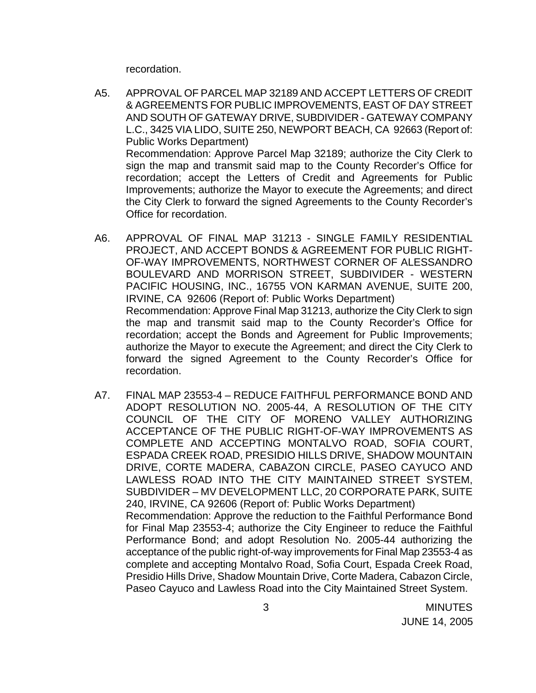recordation.

- A5. APPROVAL OF PARCEL MAP 32189 AND ACCEPT LETTERS OF CREDIT & AGREEMENTS FOR PUBLIC IMPROVEMENTS, EAST OF DAY STREET AND SOUTH OF GATEWAY DRIVE, SUBDIVIDER - GATEWAY COMPANY L.C., 3425 VIA LIDO, SUITE 250, NEWPORT BEACH, CA 92663 (Report of: Public Works Department) Recommendation: Approve Parcel Map 32189; authorize the City Clerk to sign the map and transmit said map to the County Recorder's Office for recordation; accept the Letters of Credit and Agreements for Public Improvements; authorize the Mayor to execute the Agreements; and direct the City Clerk to forward the signed Agreements to the County Recorder's Office for recordation.
- A6. APPROVAL OF FINAL MAP 31213 SINGLE FAMILY RESIDENTIAL PROJECT, AND ACCEPT BONDS & AGREEMENT FOR PUBLIC RIGHT-OF-WAY IMPROVEMENTS, NORTHWEST CORNER OF ALESSANDRO BOULEVARD AND MORRISON STREET, SUBDIVIDER - WESTERN PACIFIC HOUSING, INC., 16755 VON KARMAN AVENUE, SUITE 200, IRVINE, CA 92606 (Report of: Public Works Department) Recommendation: Approve Final Map 31213, authorize the City Clerk to sign the map and transmit said map to the County Recorder's Office for recordation; accept the Bonds and Agreement for Public Improvements; authorize the Mayor to execute the Agreement; and direct the City Clerk to forward the signed Agreement to the County Recorder's Office for recordation.
- A7. FINAL MAP 23553-4 REDUCE FAITHFUL PERFORMANCE BOND AND ADOPT RESOLUTION NO. 2005-44, A RESOLUTION OF THE CITY COUNCIL OF THE CITY OF MORENO VALLEY AUTHORIZING ACCEPTANCE OF THE PUBLIC RIGHT-OF-WAY IMPROVEMENTS AS COMPLETE AND ACCEPTING MONTALVO ROAD, SOFIA COURT, ESPADA CREEK ROAD, PRESIDIO HILLS DRIVE, SHADOW MOUNTAIN DRIVE, CORTE MADERA, CABAZON CIRCLE, PASEO CAYUCO AND LAWLESS ROAD INTO THE CITY MAINTAINED STREET SYSTEM, SUBDIVIDER – MV DEVELOPMENT LLC, 20 CORPORATE PARK, SUITE 240, IRVINE, CA 92606 (Report of: Public Works Department) Recommendation: Approve the reduction to the Faithful Performance Bond for Final Map 23553-4; authorize the City Engineer to reduce the Faithful Performance Bond; and adopt Resolution No. 2005-44 authorizing the acceptance of the public right-of-way improvements for Final Map 23553-4 as complete and accepting Montalvo Road, Sofia Court, Espada Creek Road, Presidio Hills Drive, Shadow Mountain Drive, Corte Madera, Cabazon Circle, Paseo Cayuco and Lawless Road into the City Maintained Street System.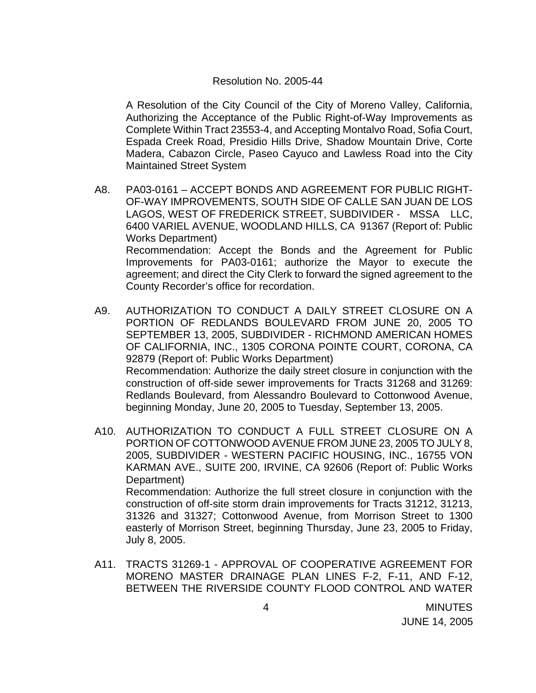#### Resolution No. 2005-44

 A Resolution of the City Council of the City of Moreno Valley, California, Authorizing the Acceptance of the Public Right-of-Way Improvements as Complete Within Tract 23553-4, and Accepting Montalvo Road, Sofia Court, Espada Creek Road, Presidio Hills Drive, Shadow Mountain Drive, Corte Madera, Cabazon Circle, Paseo Cayuco and Lawless Road into the City Maintained Street System

- A8. PA03-0161 ACCEPT BONDS AND AGREEMENT FOR PUBLIC RIGHT-OF-WAY IMPROVEMENTS, SOUTH SIDE OF CALLE SAN JUAN DE LOS LAGOS, WEST OF FREDERICK STREET, SUBDIVIDER - MSSA LLC, 6400 VARIEL AVENUE, WOODLAND HILLS, CA 91367 (Report of: Public Works Department) Recommendation: Accept the Bonds and the Agreement for Public Improvements for PA03-0161; authorize the Mayor to execute the agreement; and direct the City Clerk to forward the signed agreement to the County Recorder's office for recordation.
- A9. AUTHORIZATION TO CONDUCT A DAILY STREET CLOSURE ON A PORTION OF REDLANDS BOULEVARD FROM JUNE 20, 2005 TO SEPTEMBER 13, 2005, SUBDIVIDER - RICHMOND AMERICAN HOMES OF CALIFORNIA, INC., 1305 CORONA POINTE COURT, CORONA, CA 92879 (Report of: Public Works Department) Recommendation: Authorize the daily street closure in conjunction with the construction of off-side sewer improvements for Tracts 31268 and 31269: Redlands Boulevard, from Alessandro Boulevard to Cottonwood Avenue, beginning Monday, June 20, 2005 to Tuesday, September 13, 2005.
- A10. AUTHORIZATION TO CONDUCT A FULL STREET CLOSURE ON A PORTION OF COTTONWOOD AVENUE FROM JUNE 23, 2005 TO JULY 8, 2005, SUBDIVIDER - WESTERN PACIFIC HOUSING, INC., 16755 VON KARMAN AVE., SUITE 200, IRVINE, CA 92606 (Report of: Public Works Department) Recommendation: Authorize the full street closure in conjunction with the construction of off-site storm drain improvements for Tracts 31212, 31213, 31326 and 31327; Cottonwood Avenue, from Morrison Street to 1300 easterly of Morrison Street, beginning Thursday, June 23, 2005 to Friday, July 8, 2005.
- A11. TRACTS 31269-1 APPROVAL OF COOPERATIVE AGREEMENT FOR MORENO MASTER DRAINAGE PLAN LINES F-2, F-11, AND F-12, BETWEEN THE RIVERSIDE COUNTY FLOOD CONTROL AND WATER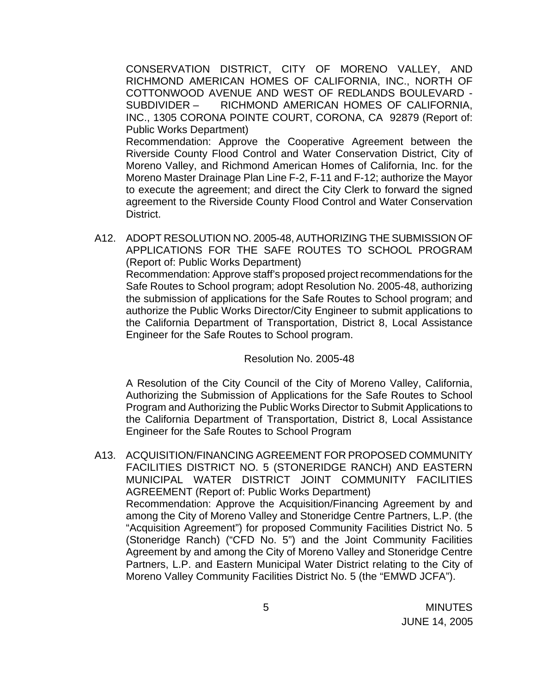CONSERVATION DISTRICT, CITY OF MORENO VALLEY, AND RICHMOND AMERICAN HOMES OF CALIFORNIA, INC., NORTH OF COTTONWOOD AVENUE AND WEST OF REDLANDS BOULEVARD - SUBDIVIDER – RICHMOND AMERICAN HOMES OF CALIFORNIA, INC., 1305 CORONA POINTE COURT, CORONA, CA 92879 (Report of: Public Works Department)

Recommendation: Approve the Cooperative Agreement between the Riverside County Flood Control and Water Conservation District, City of Moreno Valley, and Richmond American Homes of California, Inc. for the Moreno Master Drainage Plan Line F-2, F-11 and F-12; authorize the Mayor to execute the agreement; and direct the City Clerk to forward the signed agreement to the Riverside County Flood Control and Water Conservation District.

A12. ADOPT RESOLUTION NO. 2005-48, AUTHORIZING THE SUBMISSION OF APPLICATIONS FOR THE SAFE ROUTES TO SCHOOL PROGRAM (Report of: Public Works Department) Recommendation: Approve staff's proposed project recommendations for the Safe Routes to School program; adopt Resolution No. 2005-48, authorizing the submission of applications for the Safe Routes to School program; and authorize the Public Works Director/City Engineer to submit applications to the California Department of Transportation, District 8, Local Assistance Engineer for the Safe Routes to School program.

### Resolution No. 2005-48

A Resolution of the City Council of the City of Moreno Valley, California, Authorizing the Submission of Applications for the Safe Routes to School Program and Authorizing the Public Works Director to Submit Applications to the California Department of Transportation, District 8, Local Assistance Engineer for the Safe Routes to School Program

A13. ACQUISITION/FINANCING AGREEMENT FOR PROPOSED COMMUNITY FACILITIES DISTRICT NO. 5 (STONERIDGE RANCH) AND EASTERN MUNICIPAL WATER DISTRICT JOINT COMMUNITY FACILITIES AGREEMENT (Report of: Public Works Department) Recommendation: Approve the Acquisition/Financing Agreement by and among the City of Moreno Valley and Stoneridge Centre Partners, L.P. (the "Acquisition Agreement") for proposed Community Facilities District No. 5 (Stoneridge Ranch) ("CFD No. 5") and the Joint Community Facilities Agreement by and among the City of Moreno Valley and Stoneridge Centre Partners, L.P. and Eastern Municipal Water District relating to the City of Moreno Valley Community Facilities District No. 5 (the "EMWD JCFA").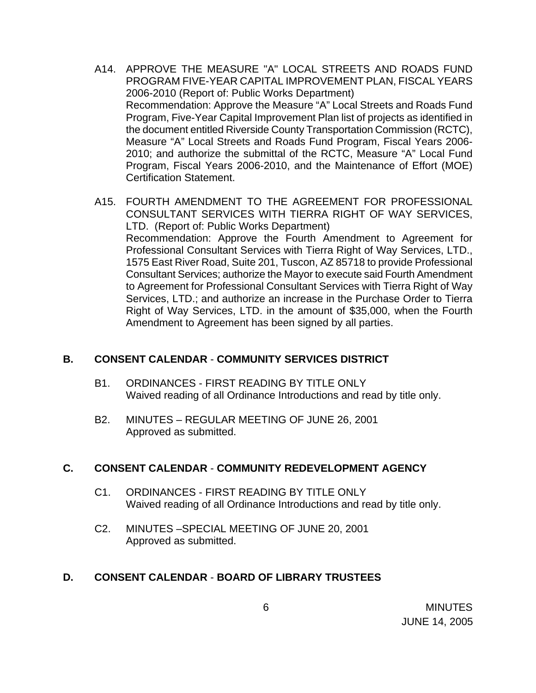- A14. APPROVE THE MEASURE "A" LOCAL STREETS AND ROADS FUND PROGRAM FIVE-YEAR CAPITAL IMPROVEMENT PLAN, FISCAL YEARS 2006-2010 (Report of: Public Works Department) Recommendation: Approve the Measure "A" Local Streets and Roads Fund Program, Five-Year Capital Improvement Plan list of projects as identified in the document entitled Riverside County Transportation Commission (RCTC), Measure "A" Local Streets and Roads Fund Program, Fiscal Years 2006- 2010; and authorize the submittal of the RCTC, Measure "A" Local Fund Program, Fiscal Years 2006-2010, and the Maintenance of Effort (MOE) Certification Statement.
- A15. FOURTH AMENDMENT TO THE AGREEMENT FOR PROFESSIONAL CONSULTANT SERVICES WITH TIERRA RIGHT OF WAY SERVICES, LTD. (Report of: Public Works Department) Recommendation: Approve the Fourth Amendment to Agreement for Professional Consultant Services with Tierra Right of Way Services, LTD., 1575 East River Road, Suite 201, Tuscon, AZ 85718 to provide Professional Consultant Services; authorize the Mayor to execute said Fourth Amendment to Agreement for Professional Consultant Services with Tierra Right of Way Services, LTD.; and authorize an increase in the Purchase Order to Tierra Right of Way Services, LTD. in the amount of \$35,000, when the Fourth Amendment to Agreement has been signed by all parties.

### **B. CONSENT CALENDAR** - **COMMUNITY SERVICES DISTRICT**

- B1. ORDINANCES FIRST READING BY TITLE ONLY Waived reading of all Ordinance Introductions and read by title only.
- B2. MINUTES REGULAR MEETING OF JUNE 26, 2001 Approved as submitted.

# **C. CONSENT CALENDAR** - **COMMUNITY REDEVELOPMENT AGENCY**

- C1. ORDINANCES FIRST READING BY TITLE ONLY Waived reading of all Ordinance Introductions and read by title only.
- C2. MINUTES –SPECIAL MEETING OF JUNE 20, 2001 Approved as submitted.

# **D. CONSENT CALENDAR** - **BOARD OF LIBRARY TRUSTEES**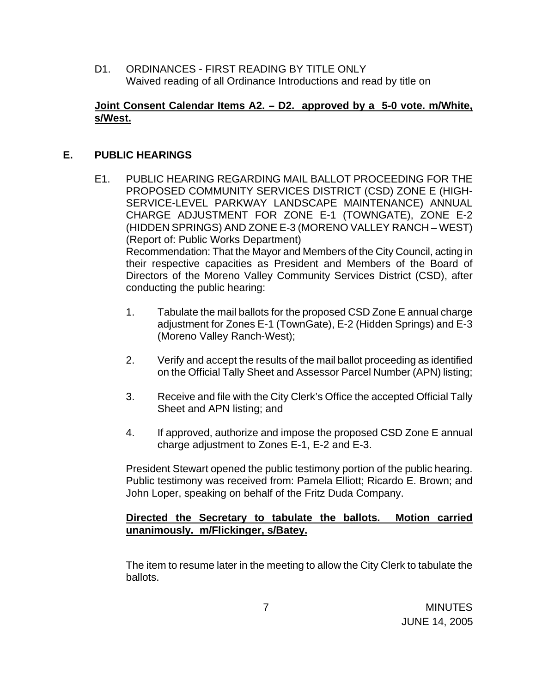D1. ORDINANCES - FIRST READING BY TITLE ONLY Waived reading of all Ordinance Introductions and read by title on

### **Joint Consent Calendar Items A2. – D2. approved by a 5-0 vote. m/White, s/West.**

### **E. PUBLIC HEARINGS**

- E1. PUBLIC HEARING REGARDING MAIL BALLOT PROCEEDING FOR THE PROPOSED COMMUNITY SERVICES DISTRICT (CSD) ZONE E (HIGH-SERVICE-LEVEL PARKWAY LANDSCAPE MAINTENANCE) ANNUAL CHARGE ADJUSTMENT FOR ZONE E-1 (TOWNGATE), ZONE E-2 (HIDDEN SPRINGS) AND ZONE E-3 (MORENO VALLEY RANCH – WEST) (Report of: Public Works Department) Recommendation: That the Mayor and Members of the City Council, acting in their respective capacities as President and Members of the Board of Directors of the Moreno Valley Community Services District (CSD), after conducting the public hearing:
	- 1. Tabulate the mail ballots for the proposed CSD Zone E annual charge adjustment for Zones E-1 (TownGate), E-2 (Hidden Springs) and E-3 (Moreno Valley Ranch-West);
	- 2. Verify and accept the results of the mail ballot proceeding as identified on the Official Tally Sheet and Assessor Parcel Number (APN) listing;
	- 3. Receive and file with the City Clerk's Office the accepted Official Tally Sheet and APN listing; and
	- 4. If approved, authorize and impose the proposed CSD Zone E annual charge adjustment to Zones E-1, E-2 and E-3.

 President Stewart opened the public testimony portion of the public hearing. Public testimony was received from: Pamela Elliott; Ricardo E. Brown; and John Loper, speaking on behalf of the Fritz Duda Company.

### **Directed the Secretary to tabulate the ballots. Motion carried unanimously. m/Flickinger, s/Batey.**

The item to resume later in the meeting to allow the City Clerk to tabulate the ballots.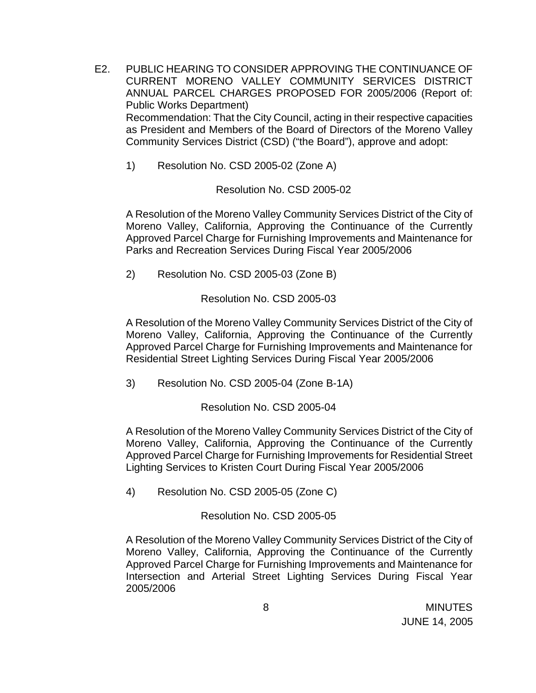- E2. PUBLIC HEARING TO CONSIDER APPROVING THE CONTINUANCE OF CURRENT MORENO VALLEY COMMUNITY SERVICES DISTRICT ANNUAL PARCEL CHARGES PROPOSED FOR 2005/2006 (Report of: Public Works Department) Recommendation: That the City Council, acting in their respective capacities as President and Members of the Board of Directors of the Moreno Valley Community Services District (CSD) ("the Board"), approve and adopt:
	- 1) Resolution No. CSD 2005-02 (Zone A)

Resolution No. CSD 2005-02

A Resolution of the Moreno Valley Community Services District of the City of Moreno Valley, California, Approving the Continuance of the Currently Approved Parcel Charge for Furnishing Improvements and Maintenance for Parks and Recreation Services During Fiscal Year 2005/2006

2) Resolution No. CSD 2005-03 (Zone B)

Resolution No. CSD 2005-03

A Resolution of the Moreno Valley Community Services District of the City of Moreno Valley, California, Approving the Continuance of the Currently Approved Parcel Charge for Furnishing Improvements and Maintenance for Residential Street Lighting Services During Fiscal Year 2005/2006

3) Resolution No. CSD 2005-04 (Zone B-1A)

Resolution No. CSD 2005-04

A Resolution of the Moreno Valley Community Services District of the City of Moreno Valley, California, Approving the Continuance of the Currently Approved Parcel Charge for Furnishing Improvements for Residential Street Lighting Services to Kristen Court During Fiscal Year 2005/2006

4) Resolution No. CSD 2005-05 (Zone C)

Resolution No. CSD 2005-05

A Resolution of the Moreno Valley Community Services District of the City of Moreno Valley, California, Approving the Continuance of the Currently Approved Parcel Charge for Furnishing Improvements and Maintenance for Intersection and Arterial Street Lighting Services During Fiscal Year 2005/2006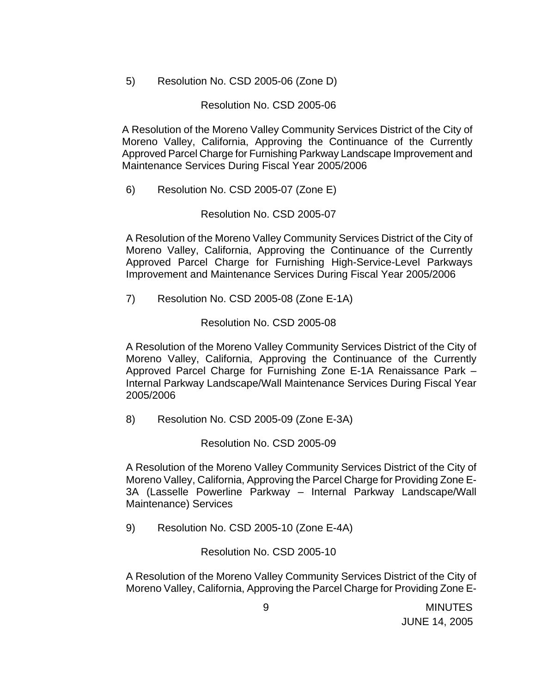5) Resolution No. CSD 2005-06 (Zone D)

Resolution No. CSD 2005-06

A Resolution of the Moreno Valley Community Services District of the City of Moreno Valley, California, Approving the Continuance of the Currently Approved Parcel Charge for Furnishing Parkway Landscape Improvement and Maintenance Services During Fiscal Year 2005/2006

6) Resolution No. CSD 2005-07 (Zone E)

Resolution No. CSD 2005-07

A Resolution of the Moreno Valley Community Services District of the City of Moreno Valley, California, Approving the Continuance of the Currently Approved Parcel Charge for Furnishing High-Service-Level Parkways Improvement and Maintenance Services During Fiscal Year 2005/2006

7) Resolution No. CSD 2005-08 (Zone E-1A)

Resolution No. CSD 2005-08

A Resolution of the Moreno Valley Community Services District of the City of Moreno Valley, California, Approving the Continuance of the Currently Approved Parcel Charge for Furnishing Zone E-1A Renaissance Park – Internal Parkway Landscape/Wall Maintenance Services During Fiscal Year 2005/2006

8) Resolution No. CSD 2005-09 (Zone E-3A)

Resolution No. CSD 2005-09

A Resolution of the Moreno Valley Community Services District of the City of Moreno Valley, California, Approving the Parcel Charge for Providing Zone E-3A (Lasselle Powerline Parkway – Internal Parkway Landscape/Wall Maintenance) Services

9) Resolution No. CSD 2005-10 (Zone E-4A)

Resolution No. CSD 2005-10

A Resolution of the Moreno Valley Community Services District of the City of Moreno Valley, California, Approving the Parcel Charge for Providing Zone E-

 9 MINUTES JUNE 14, 2005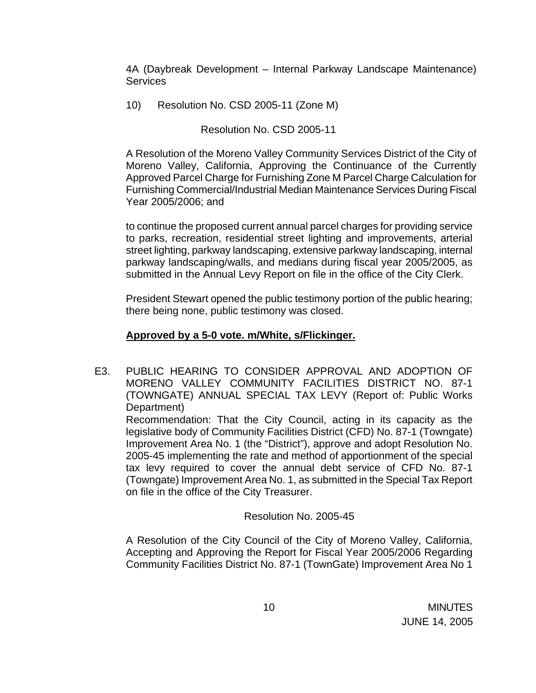4A (Daybreak Development – Internal Parkway Landscape Maintenance) **Services** 

10) Resolution No. CSD 2005-11 (Zone M)

Resolution No. CSD 2005-11

A Resolution of the Moreno Valley Community Services District of the City of Moreno Valley, California, Approving the Continuance of the Currently Approved Parcel Charge for Furnishing Zone M Parcel Charge Calculation for Furnishing Commercial/Industrial Median Maintenance Services During Fiscal Year 2005/2006; and

to continue the proposed current annual parcel charges for providing service to parks, recreation, residential street lighting and improvements, arterial street lighting, parkway landscaping, extensive parkway landscaping, internal parkway landscaping/walls, and medians during fiscal year 2005/2005, as submitted in the Annual Levy Report on file in the office of the City Clerk.

 President Stewart opened the public testimony portion of the public hearing; there being none, public testimony was closed.

# **Approved by a 5-0 vote. m/White, s/Flickinger.**

E3. PUBLIC HEARING TO CONSIDER APPROVAL AND ADOPTION OF MORENO VALLEY COMMUNITY FACILITIES DISTRICT NO. 87-1 (TOWNGATE) ANNUAL SPECIAL TAX LEVY (Report of: Public Works Department)

Recommendation: That the City Council, acting in its capacity as the legislative body of Community Facilities District (CFD) No. 87-1 (Towngate) Improvement Area No. 1 (the "District"), approve and adopt Resolution No. 2005-45 implementing the rate and method of apportionment of the special tax levy required to cover the annual debt service of CFD No. 87-1 (Towngate) Improvement Area No. 1, as submitted in the Special Tax Report on file in the office of the City Treasurer.

# Resolution No. 2005-45

A Resolution of the City Council of the City of Moreno Valley, California, Accepting and Approving the Report for Fiscal Year 2005/2006 Regarding Community Facilities District No. 87-1 (TownGate) Improvement Area No 1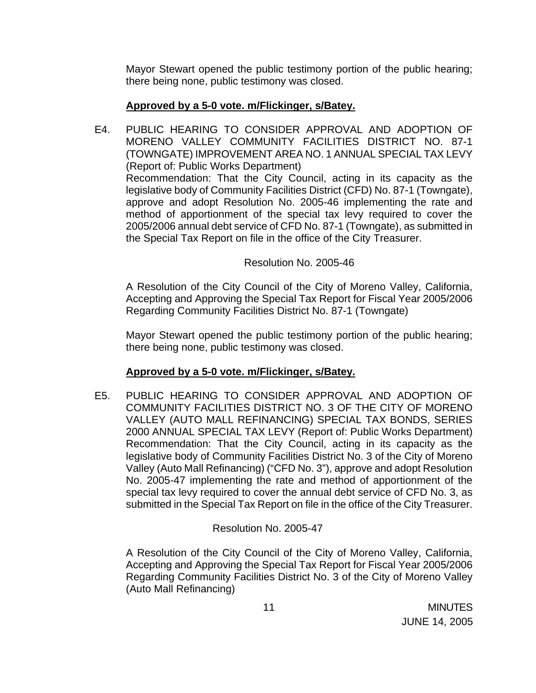Mayor Stewart opened the public testimony portion of the public hearing; there being none, public testimony was closed.

### **Approved by a 5-0 vote. m/Flickinger, s/Batey.**

E4. PUBLIC HEARING TO CONSIDER APPROVAL AND ADOPTION OF MORENO VALLEY COMMUNITY FACILITIES DISTRICT NO. 87-1 (TOWNGATE) IMPROVEMENT AREA NO. 1 ANNUAL SPECIAL TAX LEVY (Report of: Public Works Department) Recommendation: That the City Council, acting in its capacity as the legislative body of Community Facilities District (CFD) No. 87-1 (Towngate), approve and adopt Resolution No. 2005-46 implementing the rate and method of apportionment of the special tax levy required to cover the 2005/2006 annual debt service of CFD No. 87-1 (Towngate), as submitted in the Special Tax Report on file in the office of the City Treasurer.

### Resolution No. 2005-46

A Resolution of the City Council of the City of Moreno Valley, California, Accepting and Approving the Special Tax Report for Fiscal Year 2005/2006 Regarding Community Facilities District No. 87-1 (Towngate)

 Mayor Stewart opened the public testimony portion of the public hearing; there being none, public testimony was closed.

# **Approved by a 5-0 vote. m/Flickinger, s/Batey.**

E5. PUBLIC HEARING TO CONSIDER APPROVAL AND ADOPTION OF COMMUNITY FACILITIES DISTRICT NO. 3 OF THE CITY OF MORENO VALLEY (AUTO MALL REFINANCING) SPECIAL TAX BONDS, SERIES 2000 ANNUAL SPECIAL TAX LEVY (Report of: Public Works Department) Recommendation: That the City Council, acting in its capacity as the legislative body of Community Facilities District No. 3 of the City of Moreno Valley (Auto Mall Refinancing) ("CFD No. 3"), approve and adopt Resolution No. 2005-47 implementing the rate and method of apportionment of the special tax levy required to cover the annual debt service of CFD No. 3, as submitted in the Special Tax Report on file in the office of the City Treasurer.

# Resolution No. 2005-47

A Resolution of the City Council of the City of Moreno Valley, California, Accepting and Approving the Special Tax Report for Fiscal Year 2005/2006 Regarding Community Facilities District No. 3 of the City of Moreno Valley (Auto Mall Refinancing)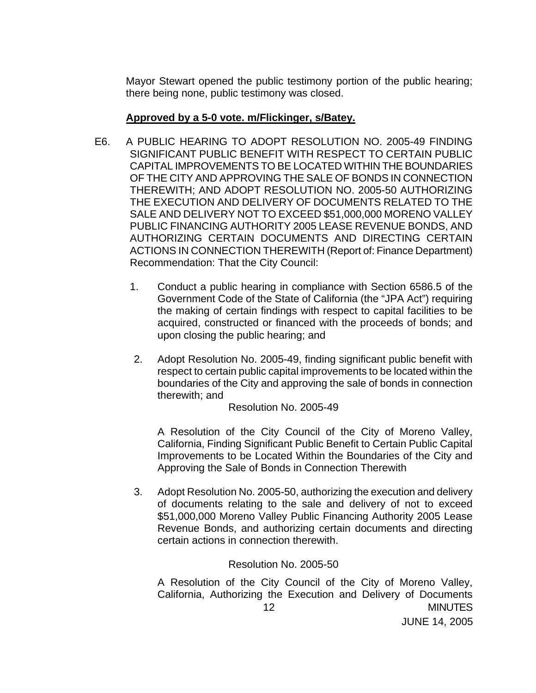Mayor Stewart opened the public testimony portion of the public hearing; there being none, public testimony was closed.

### **Approved by a 5-0 vote. m/Flickinger, s/Batey.**

- E6. A PUBLIC HEARING TO ADOPT RESOLUTION NO. 2005-49 FINDING SIGNIFICANT PUBLIC BENEFIT WITH RESPECT TO CERTAIN PUBLIC CAPITAL IMPROVEMENTS TO BE LOCATED WITHIN THE BOUNDARIES OF THE CITY AND APPROVING THE SALE OF BONDS IN CONNECTION THEREWITH; AND ADOPT RESOLUTION NO. 2005-50 AUTHORIZING THE EXECUTION AND DELIVERY OF DOCUMENTS RELATED TO THE SALE AND DELIVERY NOT TO EXCEED \$51,000,000 MORENO VALLEY PUBLIC FINANCING AUTHORITY 2005 LEASE REVENUE BONDS, AND AUTHORIZING CERTAIN DOCUMENTS AND DIRECTING CERTAIN ACTIONS IN CONNECTION THEREWITH (Report of: Finance Department) Recommendation: That the City Council:
	- 1. Conduct a public hearing in compliance with Section 6586.5 of the Government Code of the State of California (the "JPA Act") requiring the making of certain findings with respect to capital facilities to be acquired, constructed or financed with the proceeds of bonds; and upon closing the public hearing; and
	- 2. Adopt Resolution No. 2005-49, finding significant public benefit with respect to certain public capital improvements to be located within the boundaries of the City and approving the sale of bonds in connection therewith; and

Resolution No. 2005-49

A Resolution of the City Council of the City of Moreno Valley, California, Finding Significant Public Benefit to Certain Public Capital Improvements to be Located Within the Boundaries of the City and Approving the Sale of Bonds in Connection Therewith

3. Adopt Resolution No. 2005-50, authorizing the execution and delivery of documents relating to the sale and delivery of not to exceed \$51,000,000 Moreno Valley Public Financing Authority 2005 Lease Revenue Bonds, and authorizing certain documents and directing certain actions in connection therewith.

### Resolution No. 2005-50

 12 MINUTES A Resolution of the City Council of the City of Moreno Valley, California, Authorizing the Execution and Delivery of Documents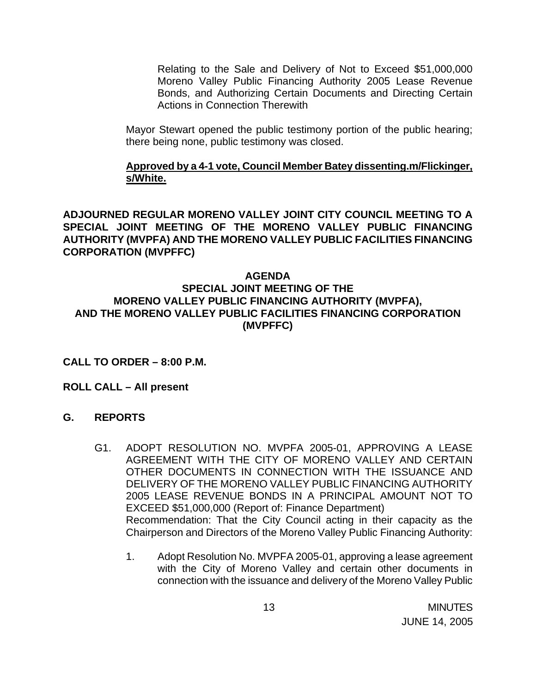Relating to the Sale and Delivery of Not to Exceed \$51,000,000 Moreno Valley Public Financing Authority 2005 Lease Revenue Bonds, and Authorizing Certain Documents and Directing Certain Actions in Connection Therewith

 Mayor Stewart opened the public testimony portion of the public hearing; there being none, public testimony was closed.

### **Approved by a 4-1 vote, Council Member Batey dissenting.m/Flickinger, s/White.**

**ADJOURNED REGULAR MORENO VALLEY JOINT CITY COUNCIL MEETING TO A SPECIAL JOINT MEETING OF THE MORENO VALLEY PUBLIC FINANCING AUTHORITY (MVPFA) AND THE MORENO VALLEY PUBLIC FACILITIES FINANCING CORPORATION (MVPFFC)** 

### **AGENDA SPECIAL JOINT MEETING OF THE MORENO VALLEY PUBLIC FINANCING AUTHORITY (MVPFA), AND THE MORENO VALLEY PUBLIC FACILITIES FINANCING CORPORATION (MVPFFC)**

### **CALL TO ORDER – 8:00 P.M.**

### **ROLL CALL – All present**

### **G. REPORTS**

- G1. ADOPT RESOLUTION NO. MVPFA 2005-01, APPROVING A LEASE AGREEMENT WITH THE CITY OF MORENO VALLEY AND CERTAIN OTHER DOCUMENTS IN CONNECTION WITH THE ISSUANCE AND DELIVERY OF THE MORENO VALLEY PUBLIC FINANCING AUTHORITY 2005 LEASE REVENUE BONDS IN A PRINCIPAL AMOUNT NOT TO EXCEED \$51,000,000 (Report of: Finance Department) Recommendation: That the City Council acting in their capacity as the Chairperson and Directors of the Moreno Valley Public Financing Authority:
	- 1. Adopt Resolution No. MVPFA 2005-01, approving a lease agreement with the City of Moreno Valley and certain other documents in connection with the issuance and delivery of the Moreno Valley Public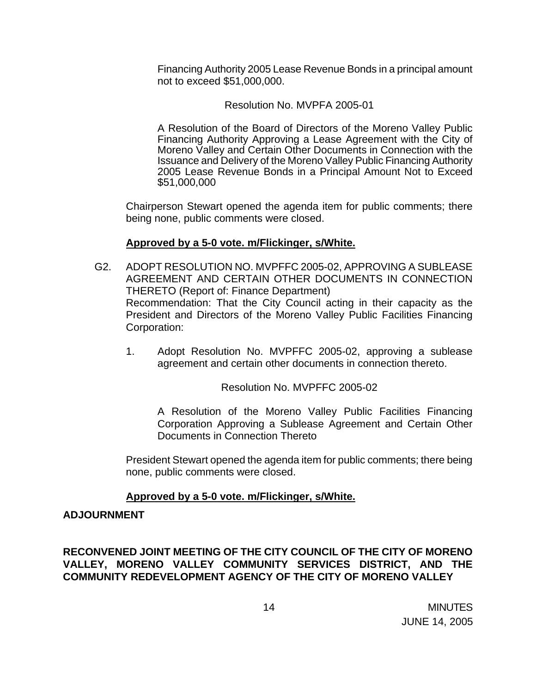Financing Authority 2005 Lease Revenue Bonds in a principal amount not to exceed \$51,000,000.

#### Resolution No. MVPFA 2005-01

 A Resolution of the Board of Directors of the Moreno Valley Public Financing Authority Approving a Lease Agreement with the City of Moreno Valley and Certain Other Documents in Connection with the Issuance and Delivery of the Moreno Valley Public Financing Authority 2005 Lease Revenue Bonds in a Principal Amount Not to Exceed \$51,000,000

 Chairperson Stewart opened the agenda item for public comments; there being none, public comments were closed.

#### **Approved by a 5-0 vote. m/Flickinger, s/White.**

- G2. ADOPT RESOLUTION NO. MVPFFC 2005-02, APPROVING A SUBLEASE AGREEMENT AND CERTAIN OTHER DOCUMENTS IN CONNECTION THERETO (Report of: Finance Department) Recommendation: That the City Council acting in their capacity as the President and Directors of the Moreno Valley Public Facilities Financing Corporation:
	- 1. Adopt Resolution No. MVPFFC 2005-02, approving a sublease agreement and certain other documents in connection thereto.

Resolution No. MVPFFC 2005-02

A Resolution of the Moreno Valley Public Facilities Financing Corporation Approving a Sublease Agreement and Certain Other Documents in Connection Thereto

 President Stewart opened the agenda item for public comments; there being none, public comments were closed.

### **Approved by a 5-0 vote. m/Flickinger, s/White.**

#### **ADJOURNMENT**

**RECONVENED JOINT MEETING OF THE CITY COUNCIL OF THE CITY OF MORENO VALLEY, MORENO VALLEY COMMUNITY SERVICES DISTRICT, AND THE COMMUNITY REDEVELOPMENT AGENCY OF THE CITY OF MORENO VALLEY**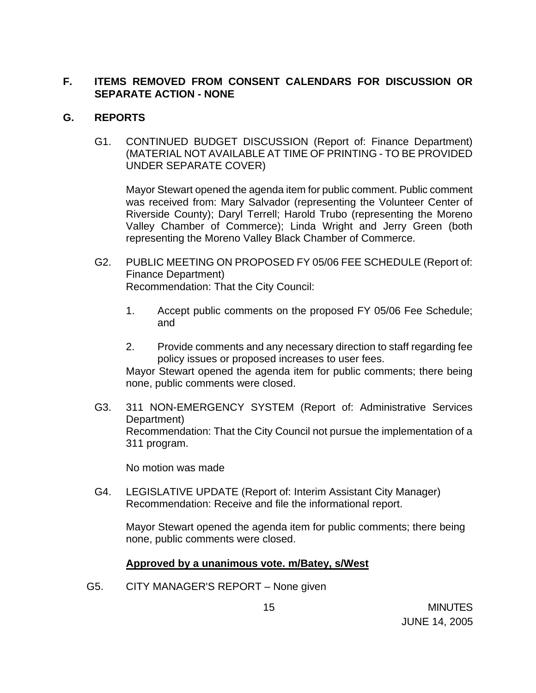# **F. ITEMS REMOVED FROM CONSENT CALENDARS FOR DISCUSSION OR SEPARATE ACTION - NONE**

### **G. REPORTS**

G1. CONTINUED BUDGET DISCUSSION (Report of: Finance Department) (MATERIAL NOT AVAILABLE AT TIME OF PRINTING - TO BE PROVIDED UNDER SEPARATE COVER)

 Mayor Stewart opened the agenda item for public comment. Public comment was received from: Mary Salvador (representing the Volunteer Center of Riverside County); Daryl Terrell; Harold Trubo (representing the Moreno Valley Chamber of Commerce); Linda Wright and Jerry Green (both representing the Moreno Valley Black Chamber of Commerce.

- G2. PUBLIC MEETING ON PROPOSED FY 05/06 FEE SCHEDULE (Report of: Finance Department) Recommendation: That the City Council:
	- 1. Accept public comments on the proposed FY 05/06 Fee Schedule; and
	- 2. Provide comments and any necessary direction to staff regarding fee policy issues or proposed increases to user fees.

 Mayor Stewart opened the agenda item for public comments; there being none, public comments were closed.

G3. 311 NON-EMERGENCY SYSTEM (Report of: Administrative Services Department) Recommendation: That the City Council not pursue the implementation of a 311 program.

No motion was made

G4. LEGISLATIVE UPDATE (Report of: Interim Assistant City Manager) Recommendation: Receive and file the informational report.

 Mayor Stewart opened the agenda item for public comments; there being none, public comments were closed.

### **Approved by a unanimous vote. m/Batey, s/West**

G5. CITY MANAGER'S REPORT – None given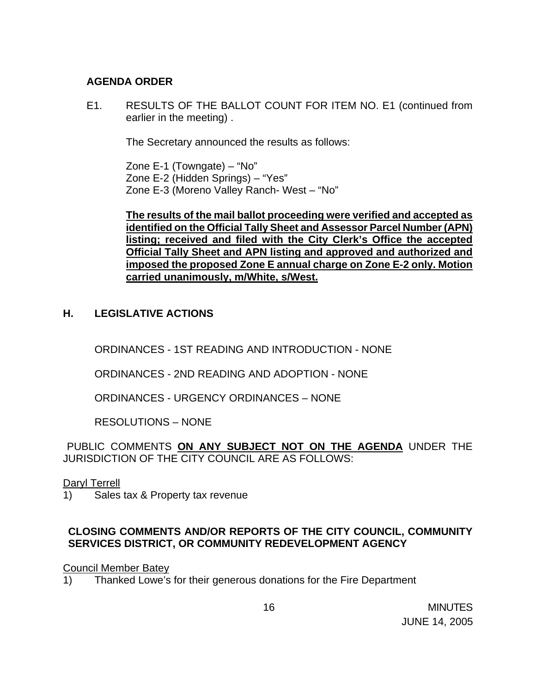### **AGENDA ORDER**

E1. RESULTS OF THE BALLOT COUNT FOR ITEM NO. E1 (continued from earlier in the meeting) .

The Secretary announced the results as follows:

 Zone E-1 (Towngate) – "No" Zone E-2 (Hidden Springs) – "Yes" Zone E-3 (Moreno Valley Ranch- West – "No"

**The results of the mail ballot proceeding were verified and accepted as identified on the Official Tally Sheet and Assessor Parcel Number (APN) listing; received and filed with the City Clerk's Office the accepted Official Tally Sheet and APN listing and approved and authorized and imposed the proposed Zone E annual charge on Zone E-2 only. Motion carried unanimously, m/White, s/West.** 

# **H. LEGISLATIVE ACTIONS**

ORDINANCES - 1ST READING AND INTRODUCTION - NONE

ORDINANCES - 2ND READING AND ADOPTION - NONE

ORDINANCES - URGENCY ORDINANCES – NONE

RESOLUTIONS – NONE

PUBLIC COMMENTS **ON ANY SUBJECT NOT ON THE AGENDA** UNDER THE JURISDICTION OF THE CITY COUNCIL ARE AS FOLLOWS:

### Daryl Terrell

1) Sales tax & Property tax revenue

# **CLOSING COMMENTS AND/OR REPORTS OF THE CITY COUNCIL, COMMUNITY SERVICES DISTRICT, OR COMMUNITY REDEVELOPMENT AGENCY**

### Council Member Batey

1) Thanked Lowe's for their generous donations for the Fire Department